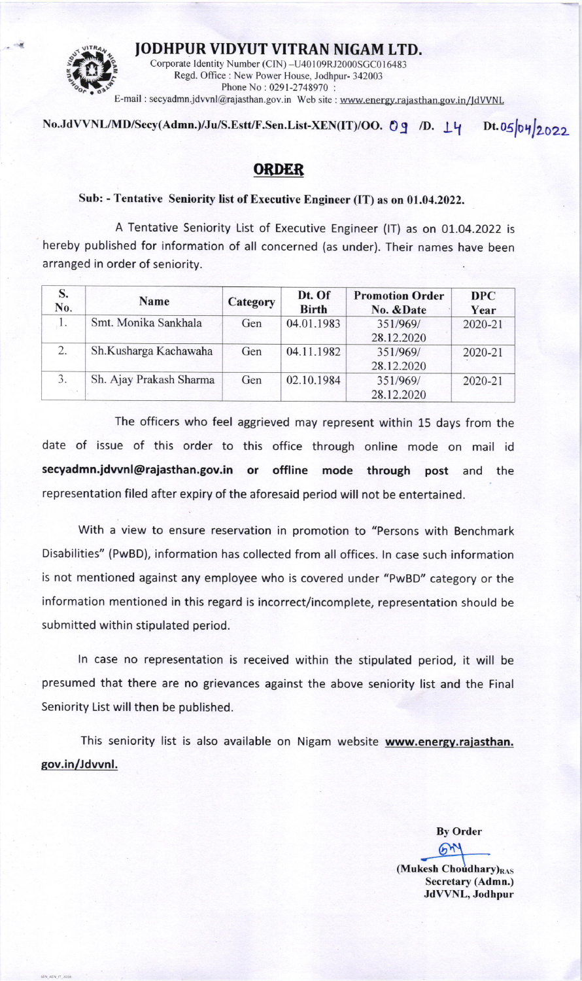

IODHPUR VIDYUT VITRAN NIGAM LTD.

Corporate Identity Number (CIN) -U40109RJ2000SGC016483<br>Regd. Office: New Power House, Jodhpur-342003<br>Phone No: 0291-2748970: E-mail : secyadmn.jdvvnl@rajasthan.gov.in Web site : www.energy.rajasthan.gov.in/JdVVNL

## No.JdVVNL/MD/Secy(Admn.)/Ju/S.Estt/F.Sen.List-XEN(IT)/OO. Og /D. L4 Dt.05 04 2022

## OEDER

## Sub: - Tentative Seniority list of Executive Engineer (IT) as on 01.04.2022.

A Tentative Seniority List of Executive Engineer (lT) as on 01.O4.2022 is hereby published for information of all concerned (as under). Their names have been arranged in order of seniority.

| S.<br>No. | <b>Name</b>             | Category | Dt. Of<br><b>Birth</b> | <b>Promotion Order</b><br>No. & Date | <b>DPC</b><br>Year |
|-----------|-------------------------|----------|------------------------|--------------------------------------|--------------------|
|           | Smt. Monika Sankhala    | Gen      | 04.01.1983             | 351/969/<br>28.12.2020               | 2020-21            |
| 2.        | Sh.Kusharga Kachawaha   | Gen      | 04.11.1982             | 351/969/<br>28.12.2020               | 2020-21            |
| 3.        | Sh. Ajay Prakash Sharma | Gen      | 02.10.1984             | 351/969/<br>28.12.2020               | 2020-21            |

The officers who feel aggrieved may represent within 15 days from the date of issue of this order to this office through online mode on mail id secyadmn.jdwnl@rajasthan.gov.in or offline mode through post and the representation filed after expiry of the aforesaid period will not be entertained.

With a view to ensure reservation in promotion to "Persons with Benchmark Disabilities" (PwBD), information has collected from all offices. ln case such information is not mentioned against any employee who is covered under "PwBD" category or the information mentioned in this regard is incorrect/incomplete, representation should be submitted within stipulated period.

ln case no representation is received within the stipulated period, it will be presumed that there are no grievances against the above seniority list and the Final Seniority List will then be published.

This seniority list is also available on Nigam website www.energy.rajasthan. gov.in/Jdvvnl.

> By Order  $6$  $^{\prime\prime}$

 $(Mu$ kesh Choudhary) $_{RAS}$ Secretary (Admn.) JdVVNL, Jodhpur